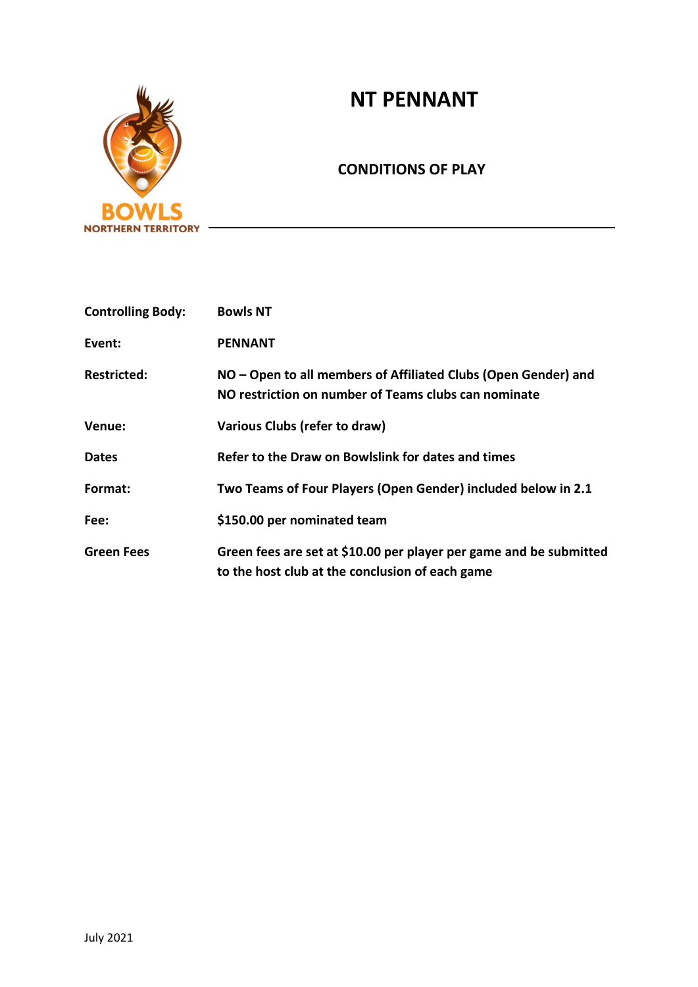# **NT PENNANT**



# **CONDITIONS OF PLAY**

| <b>Controlling Body:</b> | <b>Bowls NT</b>                                                                                                        |
|--------------------------|------------------------------------------------------------------------------------------------------------------------|
| Event:                   | <b>PENNANT</b>                                                                                                         |
| <b>Restricted:</b>       | NO – Open to all members of Affiliated Clubs (Open Gender) and<br>NO restriction on number of Teams clubs can nominate |
| Venue:                   | Various Clubs (refer to draw)                                                                                          |
| <b>Dates</b>             | Refer to the Draw on Bowlslink for dates and times                                                                     |
| Format:                  | Two Teams of Four Players (Open Gender) included below in 2.1                                                          |
| Fee:                     | \$150.00 per nominated team                                                                                            |
| <b>Green Fees</b>        | Green fees are set at \$10.00 per player per game and be submitted<br>to the host club at the conclusion of each game  |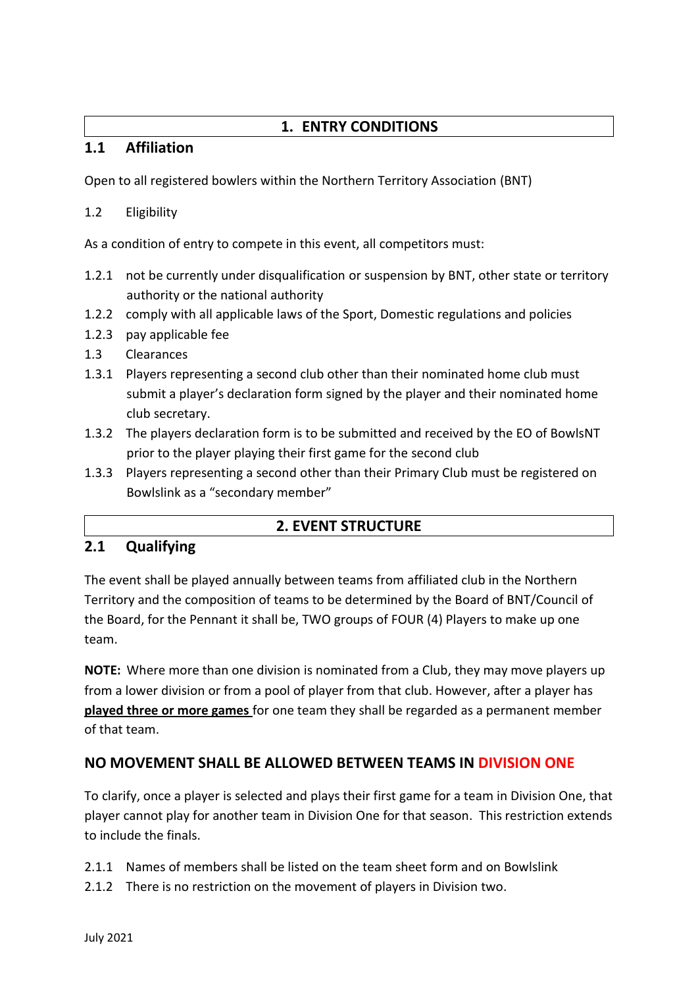# **1. ENTRY CONDITIONS**

# **1.1 Affiliation**

Open to all registered bowlers within the Northern Territory Association (BNT)

## 1.2 Eligibility

As a condition of entry to compete in this event, all competitors must:

- 1.2.1 not be currently under disqualification or suspension by BNT, other state or territory authority or the national authority
- 1.2.2 comply with all applicable laws of the Sport, Domestic regulations and policies
- 1.2.3 pay applicable fee
- 1.3 Clearances
- 1.3.1 Players representing a second club other than their nominated home club must submit a player's declaration form signed by the player and their nominated home club secretary.
- 1.3.2 The players declaration form is to be submitted and received by the EO of BowlsNT prior to the player playing their first game for the second club
- 1.3.3 Players representing a second other than their Primary Club must be registered on Bowlslink as a "secondary member"

# **2. EVENT STRUCTURE**

# **2.1 Qualifying**

The event shall be played annually between teams from affiliated club in the Northern Territory and the composition of teams to be determined by the Board of BNT/Council of the Board, for the Pennant it shall be, TWO groups of FOUR (4) Players to make up one team.

**NOTE:** Where more than one division is nominated from a Club, they may move players up from a lower division or from a pool of player from that club. However, after a player has **played three or more games** for one team they shall be regarded as a permanent member of that team.

# **NO MOVEMENT SHALL BE ALLOWED BETWEEN TEAMS IN DIVISION ONE**

To clarify, once a player is selected and plays their first game for a team in Division One, that player cannot play for another team in Division One for that season. This restriction extends to include the finals.

- 2.1.1 Names of members shall be listed on the team sheet form and on Bowlslink
- 2.1.2 There is no restriction on the movement of players in Division two.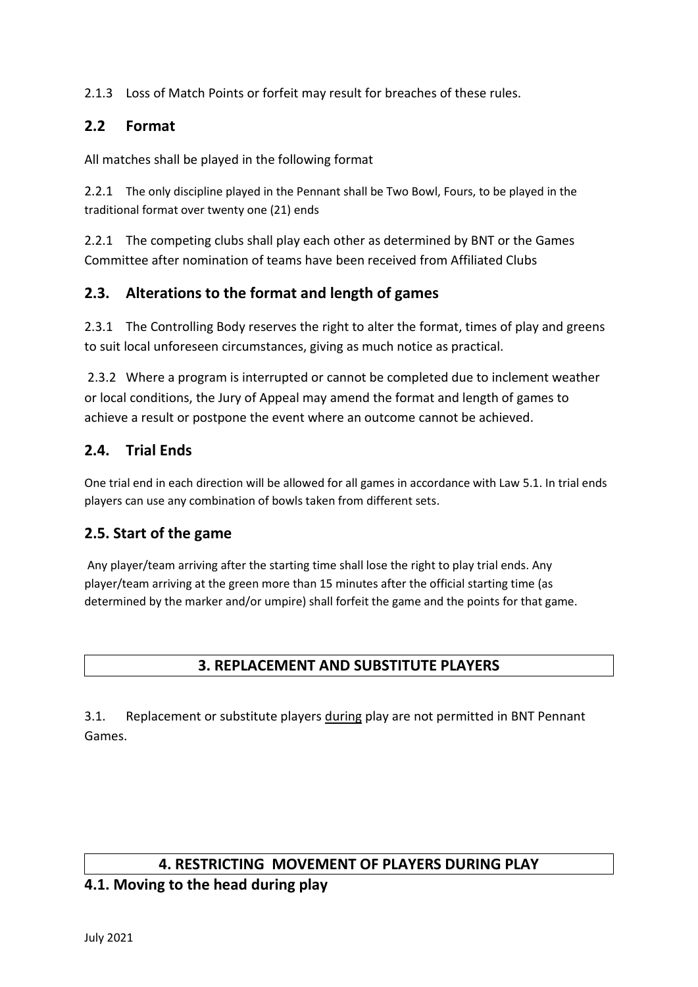2.1.3 Loss of Match Points or forfeit may result for breaches of these rules.

# **2.2 Format**

All matches shall be played in the following format

2.2.1 The only discipline played in the Pennant shall be Two Bowl, Fours, to be played in the traditional format over twenty one (21) ends

2.2.1 The competing clubs shall play each other as determined by BNT or the Games Committee after nomination of teams have been received from Affiliated Clubs

## **2.3. Alterations to the format and length of games**

2.3.1 The Controlling Body reserves the right to alter the format, times of play and greens to suit local unforeseen circumstances, giving as much notice as practical.

2.3.2 Where a program is interrupted or cannot be completed due to inclement weather or local conditions, the Jury of Appeal may amend the format and length of games to achieve a result or postpone the event where an outcome cannot be achieved.

# **2.4. Trial Ends**

One trial end in each direction will be allowed for all games in accordance with Law 5.1. In trial ends players can use any combination of bowls taken from different sets.

# **2.5. Start of the game**

Any player/team arriving after the starting time shall lose the right to play trial ends. Any player/team arriving at the green more than 15 minutes after the official starting time (as determined by the marker and/or umpire) shall forfeit the game and the points for that game.

# **3. REPLACEMENT AND SUBSTITUTE PLAYERS**

3.1. Replacement or substitute players during play are not permitted in BNT Pennant Games.

#### **4. RESTRICTING MOVEMENT OF PLAYERS DURING PLAY**

#### **4.1. Moving to the head during play**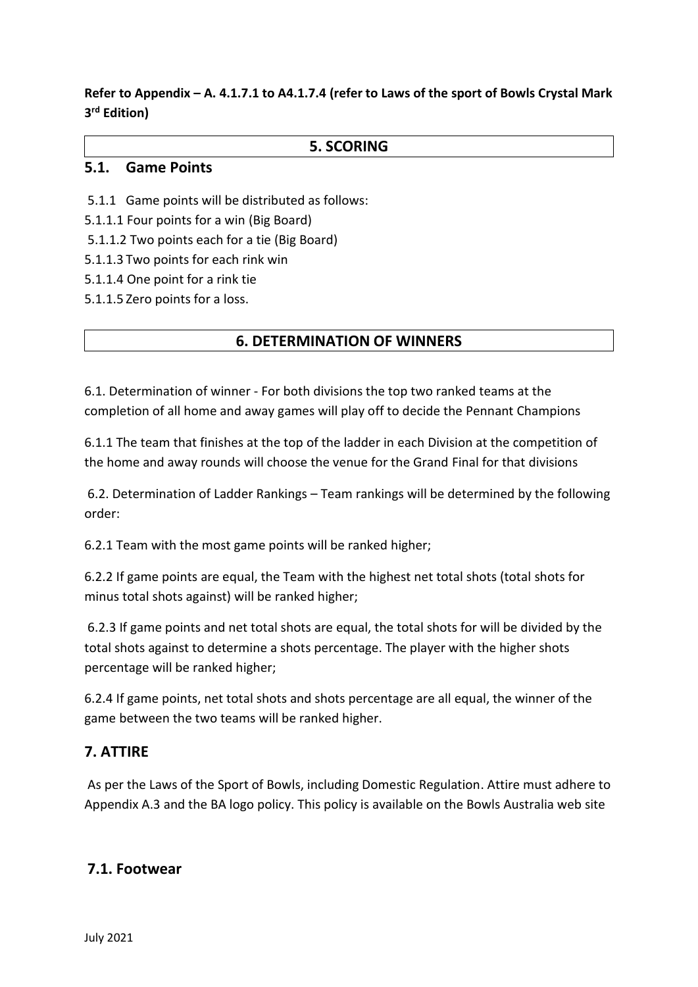# **Refer to Appendix – A. 4.1.7.1 to A4.1.7.4 (refer to Laws of the sport of Bowls Crystal Mark 3 rd Edition)**

#### **5. SCORING**

#### **5.1. Game Points**

- 5.1.1 Game points will be distributed as follows:
- 5.1.1.1 Four points for a win (Big Board)
- 5.1.1.2 Two points each for a tie (Big Board)
- 5.1.1.3 Two points for each rink win
- 5.1.1.4 One point for a rink tie
- 5.1.1.5 Zero points for a loss.

## **6. DETERMINATION OF WINNERS**

6.1. Determination of winner - For both divisions the top two ranked teams at the completion of all home and away games will play off to decide the Pennant Champions

6.1.1 The team that finishes at the top of the ladder in each Division at the competition of the home and away rounds will choose the venue for the Grand Final for that divisions

6.2. Determination of Ladder Rankings – Team rankings will be determined by the following order:

6.2.1 Team with the most game points will be ranked higher;

6.2.2 If game points are equal, the Team with the highest net total shots (total shots for minus total shots against) will be ranked higher;

6.2.3 If game points and net total shots are equal, the total shots for will be divided by the total shots against to determine a shots percentage. The player with the higher shots percentage will be ranked higher;

6.2.4 If game points, net total shots and shots percentage are all equal, the winner of the game between the two teams will be ranked higher.

#### **7. ATTIRE**

As per the Laws of the Sport of Bowls, including Domestic Regulation. Attire must adhere to Appendix A.3 and the BA logo policy. This policy is available on the Bowls Australia web site

#### **7.1. Footwear**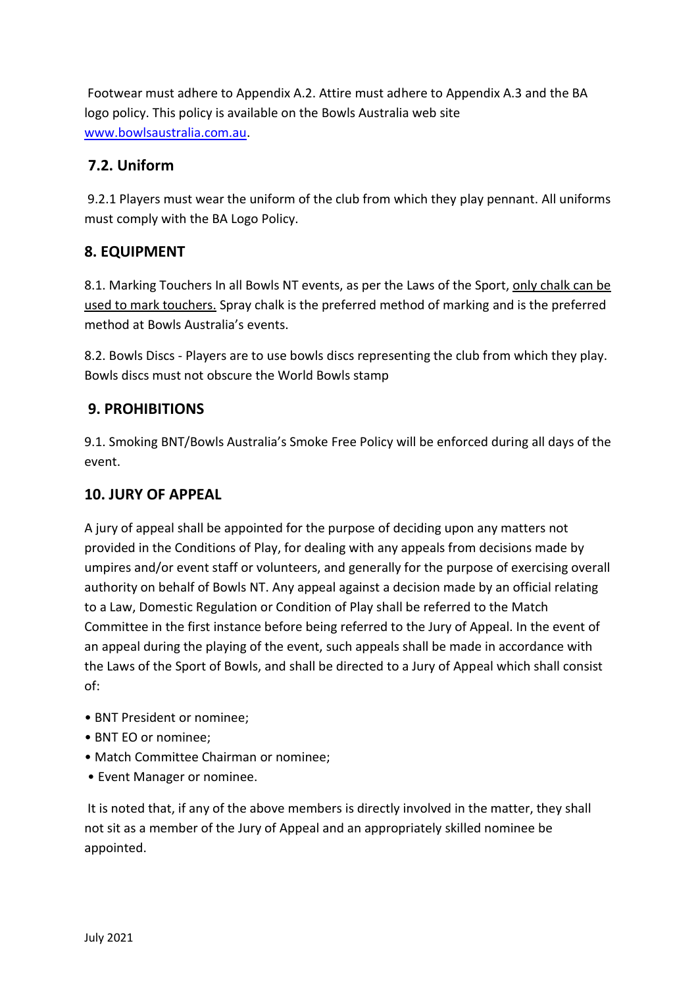Footwear must adhere to Appendix A.2. Attire must adhere to Appendix A.3 and the BA logo policy. This policy is available on the Bowls Australia web site [www.bowlsaustralia.com.au.](http://www.bowlsaustralia.com.au/)

# **7.2. Uniform**

9.2.1 Players must wear the uniform of the club from which they play pennant. All uniforms must comply with the BA Logo Policy.

# **8. EQUIPMENT**

8.1. Marking Touchers In all Bowls NT events, as per the Laws of the Sport, only chalk can be used to mark touchers. Spray chalk is the preferred method of marking and is the preferred method at Bowls Australia's events.

8.2. Bowls Discs - Players are to use bowls discs representing the club from which they play. Bowls discs must not obscure the World Bowls stamp

# **9. PROHIBITIONS**

9.1. Smoking BNT/Bowls Australia's Smoke Free Policy will be enforced during all days of the event.

# **10. JURY OF APPEAL**

A jury of appeal shall be appointed for the purpose of deciding upon any matters not provided in the Conditions of Play, for dealing with any appeals from decisions made by umpires and/or event staff or volunteers, and generally for the purpose of exercising overall authority on behalf of Bowls NT. Any appeal against a decision made by an official relating to a Law, Domestic Regulation or Condition of Play shall be referred to the Match Committee in the first instance before being referred to the Jury of Appeal. In the event of an appeal during the playing of the event, such appeals shall be made in accordance with the Laws of the Sport of Bowls, and shall be directed to a Jury of Appeal which shall consist of:

- BNT President or nominee;
- BNT EO or nominee;
- Match Committee Chairman or nominee;
- Event Manager or nominee.

It is noted that, if any of the above members is directly involved in the matter, they shall not sit as a member of the Jury of Appeal and an appropriately skilled nominee be appointed.